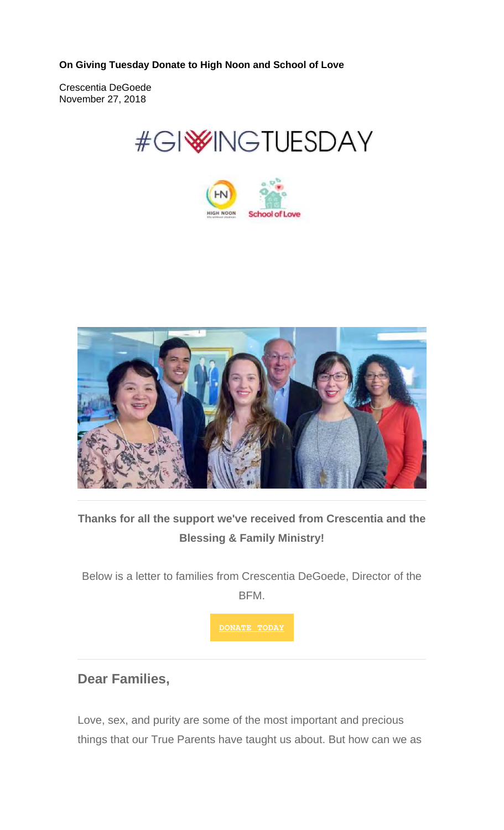**On Giving Tuesday Donate to High Noon and School of Love** 

Crescentia DeGoede November 27, 2018







### **Thanks for all the support we've received from Crescentia and the Blessing & Family Ministry!**

Below is a letter to families from Crescentia DeGoede, Director of the **BFM** 

**DONATE TODAY**

#### **Dear Families,**

Love, sex, and purity are some of the most important and precious things that our True Parents have taught us about. But how can we as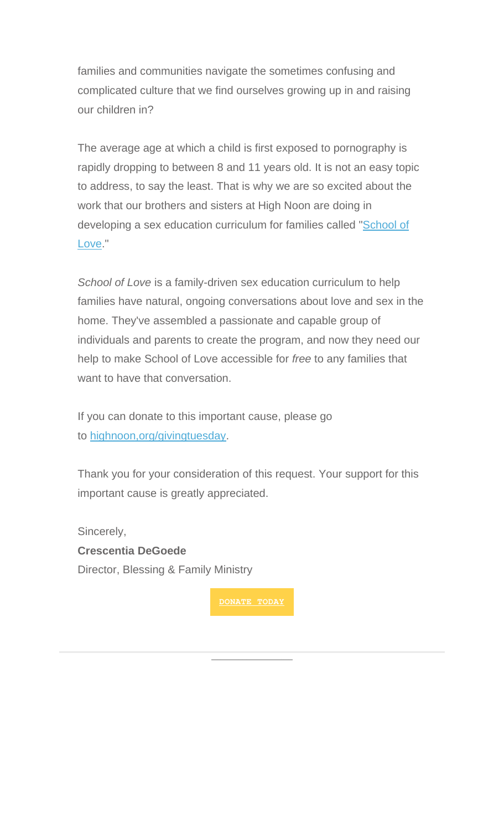families and communities navigate the sometimes confusing and complicated culture that we find ourselves growing up in and raising our children in?

The average age at which a child is first exposed to pornography is rapidly dropping to between 8 and 11 years old. It is not an easy topic to address, to say the least. That is why we are so excited about the work that our brothers and sisters at High Noon are doing in developing a sex education curriculum for families called "School of Love."

*School of Love* is a family-driven sex education curriculum to help families have natural, ongoing conversations about love and sex in the home. They've assembled a passionate and capable group of individuals and parents to create the program, and now they need our help to make School of Love accessible for *free* to any families that want to have that conversation.

If you can donate to this important cause, please go to highnoon,org/givingtuesday.

Thank you for your consideration of this request. Your support for this important cause is greatly appreciated.

Sincerely, **Crescentia DeGoede** Director, Blessing & Family Ministry

**DONATE TODAY**

Learn about who we are!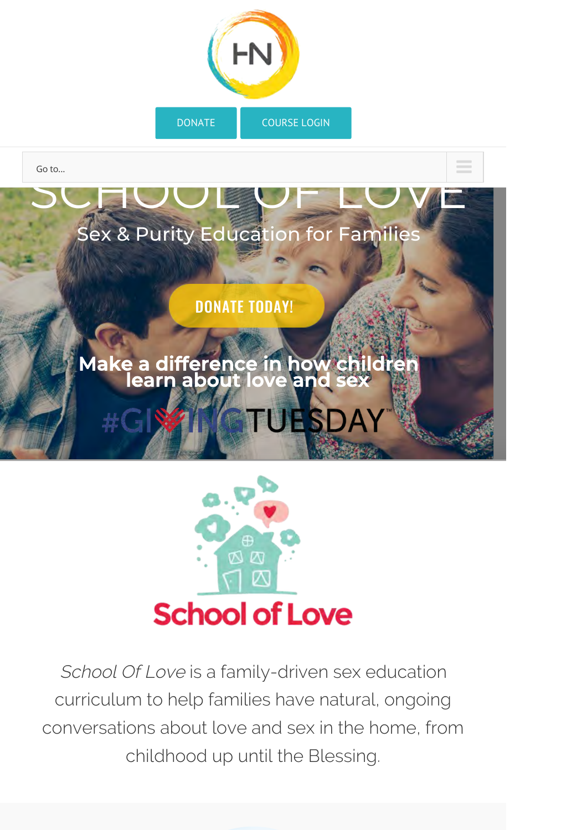



## Make a difference in how children learn about love and sex

TUESD



School Of Love is a family-driven sex education curriculum to help families have natural, ongoing conversations about love and sex in the home, from childhood up until the Blessing.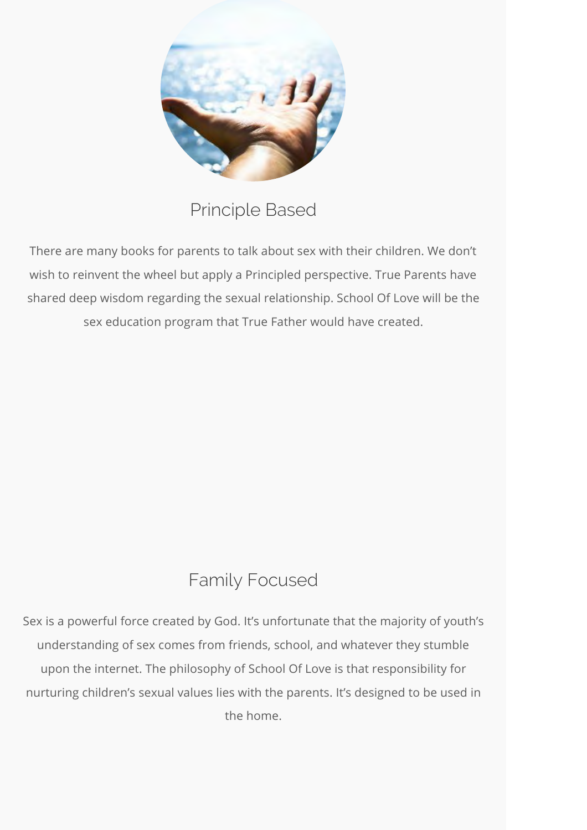

Principle Based

There are many books for parents to talk about sex with their children. We don't wish to reinvent the wheel but apply a Principled perspective. True Parents have shared deep wisdom regarding the sexual relationship. School Of Love will be the sex education program that True Father would have created.

# Family Focused

Sex is a powerful force created by God. It's unfortunate that the majority of youth's understanding of sex comes from friends, school, and whatever they stumble upon the internet. The philosophy of School Of Love is that responsibility for nurturing children's sexual values lies with the parents. It's designed to be used in the home.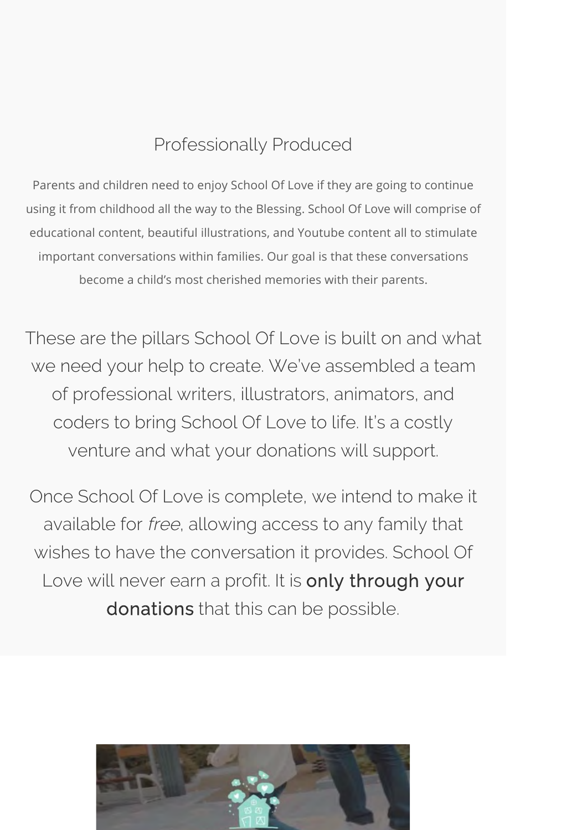### Professionally Produced

Parents and children need to enjoy School Of Love if they are going to continue using it from childhood all the way to the Blessing. School Of Love will comprise of educational content, beautiful illustrations, and Youtube content all to stimulate important conversations within families. Our goal is that these conversations become a child's most cherished memories with their parents.

These are the pillars School Of Love is built on and what we need your help to create. We've assembled a team of professional writers, illustrators, animators, and coders to bring School Of Love to life. It's a costly venture and what your donations will support.

Once School Of Love is complete, we intend to make it available for free, allowing access to any family that wishes to have the conversation it provides. School Of Love will never earn a profit. It is only through your donations that this can be possible.

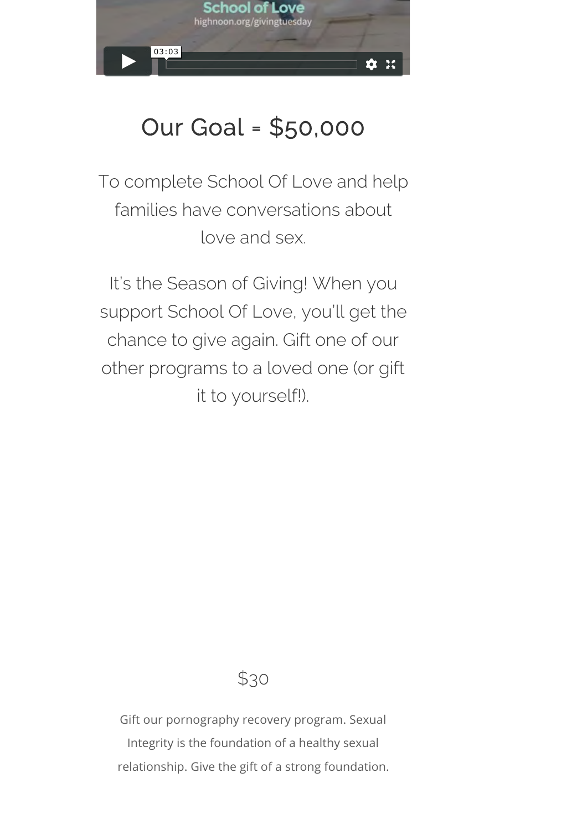

# Our Goal = \$50,000

To complete School Of Love and help families have conversations about love and sex.

It's the Season of Giving! When you support School Of Love, you'll get the chance to give again. Gift one of our other programs to a loved one (or gift it to yourself!).

## \$30

Gift our pornography recovery program. Sexual Integrity is the foundation of a healthy sexual relationship. Give the gift of a strong foundation.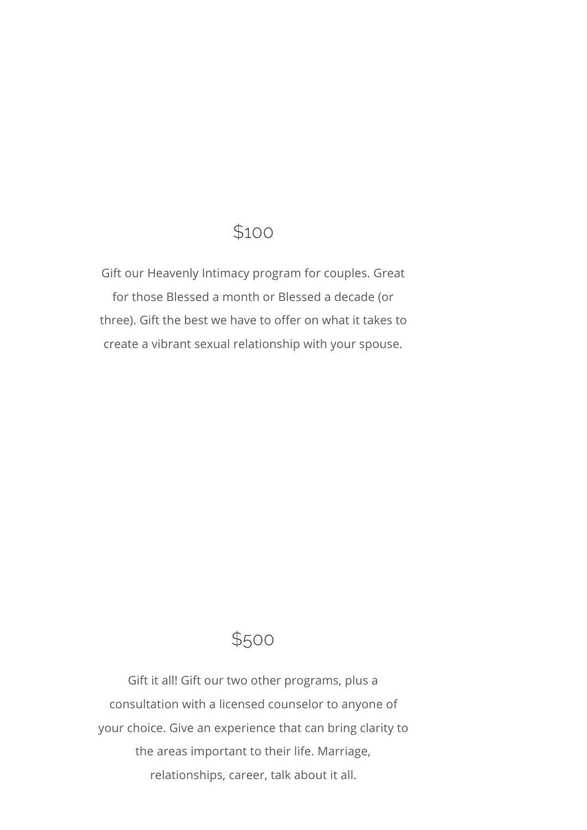### \$100

Gift our Heavenly Intimacy program for couples. Great for those Blessed a month or Blessed a decade (or three). Gift the best we have to offer on what it takes to create a vibrant sexual relationship with your spouse.

### \$500

Gift it all! Gift our two other programs, plus a consultation with a licensed counselor to anyone of your choice. Give an experience that can bring clarity to the areas important to their life. Marriage, relationships, career, talk about it all.